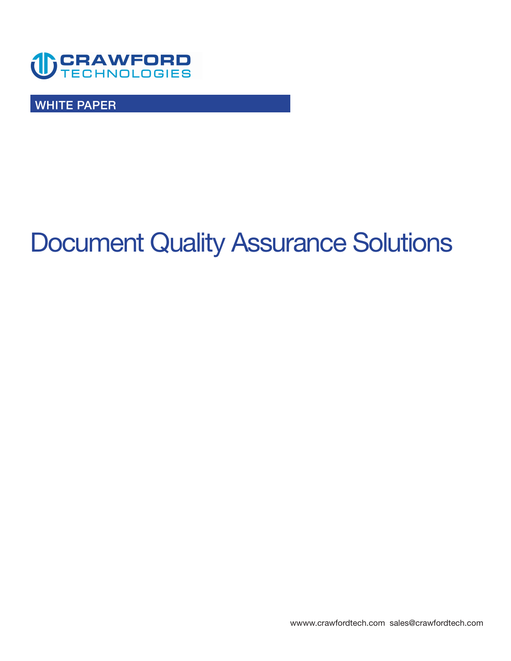

**WHITE PAPER** 

# **Document Quality Assurance Solutions**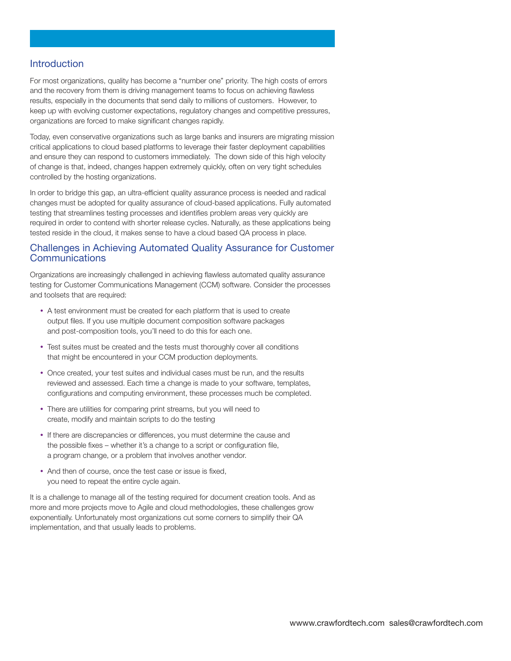### **Introduction**

**For most organizations, quality has become a "number one" priority. The high costs of errors and the recovery from them is driving management teams to focus on achieving flawless results, especially in the documents that send daily to millions of customers. However, to keep up with evolving customer expectations, regulatory changes and competitive pressures, organizations are forced to make significant changes rapidly.** 

**Today, even conservative organizations such as large banks and insurers are migrating mission critical applications to cloud based platforms to leverage their faster deployment capabilities and ensure they can respond to customers immediately. The down side of this high velocity of change is that, indeed, changes happen extremely quickly, often on very tight schedules controlled by the hosting organizations.** 

**In order to bridge this gap, an ultra-efficient quality assurance process is needed and radical changes must be adopted for quality assurance of cloud-based applications. Fully automated testing that streamlines testing processes and identifies problem areas very quickly are required in order to contend with shorter release cycles. Naturally, as these applications being tested reside in the cloud, it makes sense to have a cloud based QA process in place.** 

#### **Challenges in Achieving Automated Quality Assurance for Customer Communications**

**Organizations are increasingly challenged in achieving flawless automated quality assurance testing for Customer Communications Management (CCM) software. Consider the processes and toolsets that are required:** 

- A test environment must be created for each platform that is used to create **output files. If you use multiple document composition software packages and post-composition tools, you'll need to do this for each one.**
- Test suites must be created and the tests must thoroughly cover all conditions **that might be encountered in your CCM production deployments.**
- Once created, your test suites and individual cases must be run, and the results **reviewed and assessed. Each time a change is made to your software, templates, configurations and computing environment, these processes much be completed.**
- There are utilities for comparing print streams, but you will need to **create, modify and maintain scripts to do the testing**
- If there are discrepancies or differences, you must determine the cause and **the possible fixes – whether it's a change to a script or configuration file, a program change, or a problem that involves another vendor.**
- And then of course, once the test case or issue is fixed, **you need to repeat the entire cycle again.**

**It is a challenge to manage all of the testing required for document creation tools. And as more and more projects move to Agile and cloud methodologies, these challenges grow exponentially. Unfortunately most organizations cut some corners to simplify their QA implementation, and that usually leads to problems.**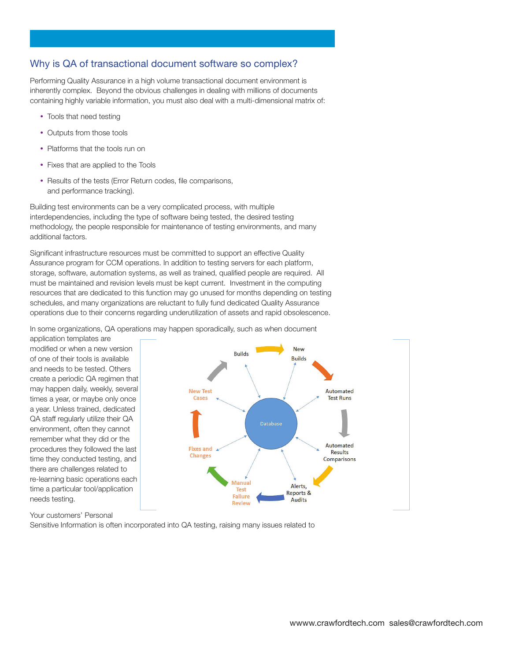# **Why is QA of transactional document software so complex?**

**Performing Quality Assurance in a high volume transactional document environment is inherently complex. Beyond the obvious challenges in dealing with millions of documents containing highly variable information, you must also deal with a multi-dimensional matrix of:** 

- Tools that need testing
- Outputs from those tools
- Platforms that the tools run on
- Fixes that are applied to the Tools
- **Results of the tests (Error Return codes, file comparisons, and performance tracking).**

**Building test environments can be a very complicated process, with multiple interdependencies, including the type of software being tested, the desired testing methodology, the people responsible for maintenance of testing environments, and many additional factors.** 

**Significant infrastructure resources must be committed to support an effective Quality Assurance program for CCM operations. In addition to testing servers for each platform, storage, software, automation systems, as well as trained, qualified people are required. All must be maintained and revision levels must be kept current. Investment in the computing resources that are dedicated to this function may go unused for months depending on testing schedules, and many organizations are reluctant to fully fund dedicated Quality Assurance operations due to their concerns regarding underutilization of assets and rapid obsolescence.** 

**In some organizations, QA operations may happen sporadically, such as when document** 

**application templates are modified or when a new version of one of their tools is available and needs to be tested. Others create a periodic QA regimen that may happen daily, weekly, several times a year, or maybe only once a year. Unless trained, dedicated QA staff regularly utilize their QA environment, often they cannot remember what they did or the procedures they followed the last time they conducted testing, and there are challenges related to re-learning basic operations each time a particular tool/application needs testing.** 



#### **Your customers' Personal**

**Sensitive Information is often incorporated into QA testing, raising many issues related to**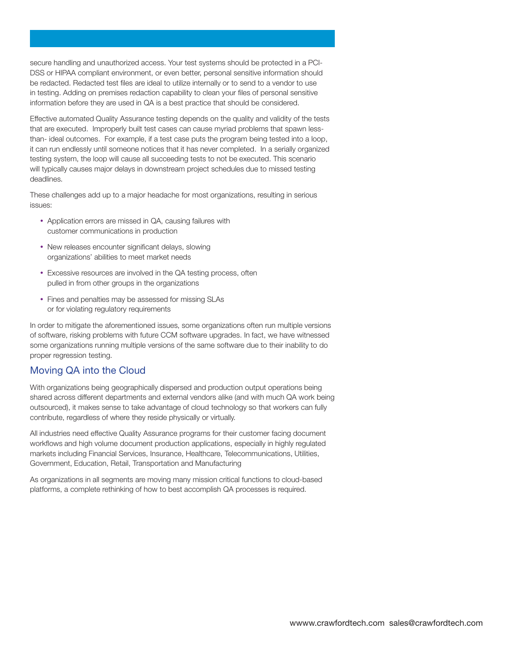**secure handling and unauthorized access. Your test systems should be protected in a PCI-DSS or HIPAA compliant environment, or even better, personal sensitive information should be redacted. Redacted test files are ideal to utilize internally or to send to a vendor to use in testing. Adding on premises redaction capability to clean your files of personal sensitive information before they are used in QA is a best practice that should be considered.** 

**Effective automated Quality Assurance testing depends on the quality and validity of the tests that are executed. Improperly built test cases can cause myriad problems that spawn lessthan- ideal outcomes. For example, if a test case puts the program being tested into a loop, it can run endlessly until someone notices that it has never completed. In a serially organized testing system, the loop will cause all succeeding tests to not be executed. This scenario will typically causes major delays in downstream project schedules due to missed testing deadlines.** 

**These challenges add up to a major headache for most organizations, resulting in serious issues:** 

- Application errors are missed in QA, causing failures with **customer communications in production**
- New releases encounter significant delays, slowing **organizations' abilities to meet market needs**
- **Excessive resources are involved in the QA testing process, often pulled in from other groups in the organizations**
- **Fines and penalties may be assessed for missing SLAs or for violating regulatory requirements**

**In order to mitigate the aforementioned issues, some organizations often run multiple versions of software, risking problems with future CCM software upgrades. In fact, we have witnessed some organizations running multiple versions of the same software due to their inability to do proper regression testing.** 

# **Moving QA into the Cloud**

**With organizations being geographically dispersed and production output operations being shared across different departments and external vendors alike (and with much QA work being outsourced), it makes sense to take advantage of cloud technology so that workers can fully contribute, regardless of where they reside physically or virtually.** 

**All industries need effective Quality Assurance programs for their customer facing document workflows and high volume document production applications, especially in highly regulated markets including Financial Services, Insurance, Healthcare, Telecommunications, Utilities, Government, Education, Retail, Transportation and Manufacturing** 

**As organizations in all segments are moving many mission critical functions to cloud-based platforms, a complete rethinking of how to best accomplish QA processes is required.**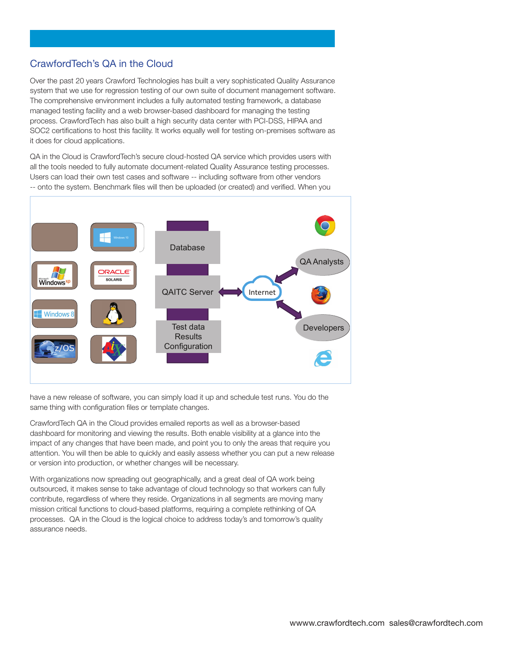# **CrawfordTech's QA in the Cloud**

**Over the past 20 years Crawford Technologies has built a very sophisticated Quality Assurance system that we use for regression testing of our own suite of document management software. The comprehensive environment includes a fully automated testing framework, a database managed testing facility and a web browser-based dashboard for managing the testing process. CrawfordTech has also built a high security data center with PCI-DSS, HIPAA and SOC2 certifications to host this facility. It works equally well for testing on-premises software as it does for cloud applications.** 

**QA in the Cloud is CrawfordTech's secure cloud-hosted QA service which provides users with all the tools needed to fully automate document-related Quality Assurance testing processes. Users can load their own test cases and software -- including software from other vendors -- onto the system. Benchmark files will then be uploaded (or created) and verified. When you** 



**have a new release of software, you can simply load it up and schedule test runs. You do the same thing with configuration files or template changes.** 

**CrawfordTech QA in the Cloud provides emailed reports as well as a browser-based dashboard for monitoring and viewing the results. Both enable visibility at a glance into the impact of any changes that have been made, and point you to only the areas that require you attention. You will then be able to quickly and easily assess whether you can put a new release or version into production, or whether changes will be necessary.** 

**With organizations now spreading out geographically, and a great deal of QA work being outsourced, it makes sense to take advantage of cloud technology so that workers can fully contribute, regardless of where they reside. Organizations in all segments are moving many mission critical functions to cloud-based platforms, requiring a complete rethinking of QA processes. QA in the Cloud is the logical choice to address today's and tomorrow's quality assurance needs.**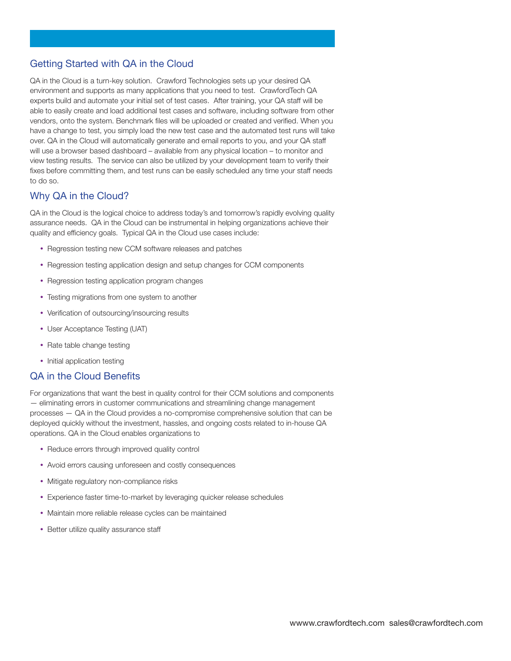# **Getting Started with QA in the Cloud**

**QA in the Cloud is a turn-key solution. Crawford Technologies sets up your desired QA environment and supports as many applications that you need to test. CrawfordTech QA experts build and automate your initial set of test cases. After training, your QA staff will be able to easily create and load additional test cases and software, including software from other vendors, onto the system. Benchmark files will be uploaded or created and verified. When you have a change to test, you simply load the new test case and the automated test runs will take over. QA in the Cloud will automatically generate and email reports to you, and your QA staff will use a browser based dashboard – available from any physical location – to monitor and view testing results. The service can also be utilized by your development team to verify their fixes before committing them, and test runs can be easily scheduled any time your staff needs to do so.** 

## **Why QA in the Cloud?**

**QA in the Cloud is the logical choice to address today's and tomorrow's rapidly evolving quality assurance needs. QA in the Cloud can be instrumental in helping organizations achieve their quality and efficiency goals. Typical QA in the Cloud use cases include:** 

- Regression testing new CCM software releases and patches
- Regression testing application design and setup changes for CCM components
- Regression testing application program changes
- Testing migrations from one system to another
- Verification of outsourcing/insourcing results
- User Acceptance Testing (UAT)
- Rate table change testing
- Initial application testing

### **QA in the Cloud Benefits**

**For organizations that want the best in quality control for their CCM solutions and components — eliminating errors in customer communications and streamlining change management processes — QA in the Cloud provides a no-compromise comprehensive solution that can be deployed quickly without the investment, hassles, and ongoing costs related to in-house QA operations. QA in the Cloud enables organizations to** 

- **Reduce errors through improved quality control**
- Avoid errors causing unforeseen and costly consequences
- **Mitigate regulatory non-compliance risks**
- **Experience faster time-to-market by leveraging quicker release schedules**
- **Maintain more reliable release cycles can be maintained**
- **Better utilize quality assurance staff**